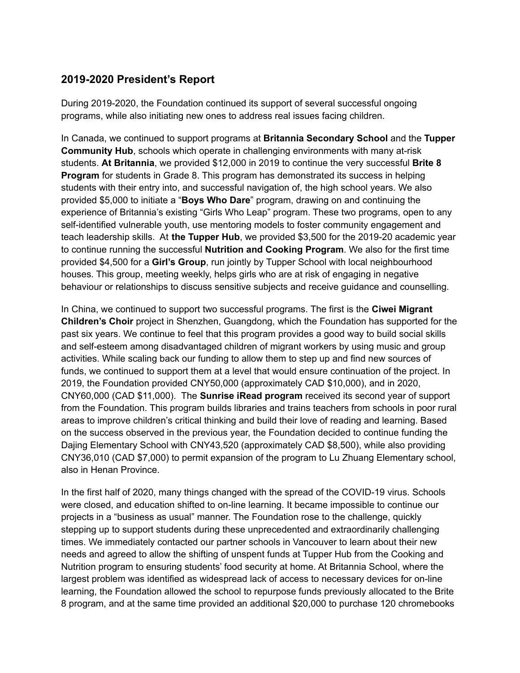## **2019-2020 President's Report**

During 2019-2020, the Foundation continued its support of several successful ongoing programs, while also initiating new ones to address real issues facing children.

In Canada, we continued to support programs at **Britannia Secondary School** and the **Tupper Community Hub**, schools which operate in challenging environments with many at-risk students. **At Britannia**, we provided \$12,000 in 2019 to continue the very successful **Brite 8 Program** for students in Grade 8. This program has demonstrated its success in helping students with their entry into, and successful navigation of, the high school years. We also provided \$5,000 to initiate a "**Boys Who Dare**" program, drawing on and continuing the experience of Britannia's existing "Girls Who Leap" program. These two programs, open to any self-identified vulnerable youth, use mentoring models to foster community engagement and teach leadership skills. At **the Tupper Hub**, we provided \$3,500 for the 2019-20 academic year to continue running the successful **Nutrition and Cooking Program**. We also for the first time provided \$4,500 for a **Girl's Group**, run jointly by Tupper School with local neighbourhood houses. This group, meeting weekly, helps girls who are at risk of engaging in negative behaviour or relationships to discuss sensitive subjects and receive guidance and counselling.

In China, we continued to support two successful programs. The first is the **Ciwei Migrant Children's Choir** project in Shenzhen, Guangdong, which the Foundation has supported for the past six years. We continue to feel that this program provides a good way to build social skills and self-esteem among disadvantaged children of migrant workers by using music and group activities. While scaling back our funding to allow them to step up and find new sources of funds, we continued to support them at a level that would ensure continuation of the project. In 2019, the Foundation provided CNY50,000 (approximately CAD \$10,000), and in 2020, CNY60,000 (CAD \$11,000). The **Sunrise iRead program** received its second year of support from the Foundation. This program builds libraries and trains teachers from schools in poor rural areas to improve children's critical thinking and build their love of reading and learning. Based on the success observed in the previous year, the Foundation decided to continue funding the Dajing Elementary School with CNY43,520 (approximately CAD \$8,500), while also providing CNY36,010 (CAD \$7,000) to permit expansion of the program to Lu Zhuang Elementary school, also in Henan Province.

In the first half of 2020, many things changed with the spread of the COVID-19 virus. Schools were closed, and education shifted to on-line learning. It became impossible to continue our projects in a "business as usual" manner. The Foundation rose to the challenge, quickly stepping up to support students during these unprecedented and extraordinarily challenging times. We immediately contacted our partner schools in Vancouver to learn about their new needs and agreed to allow the shifting of unspent funds at Tupper Hub from the Cooking and Nutrition program to ensuring students' food security at home. At Britannia School, where the largest problem was identified as widespread lack of access to necessary devices for on-line learning, the Foundation allowed the school to repurpose funds previously allocated to the Brite 8 program, and at the same time provided an additional \$20,000 to purchase 120 chromebooks